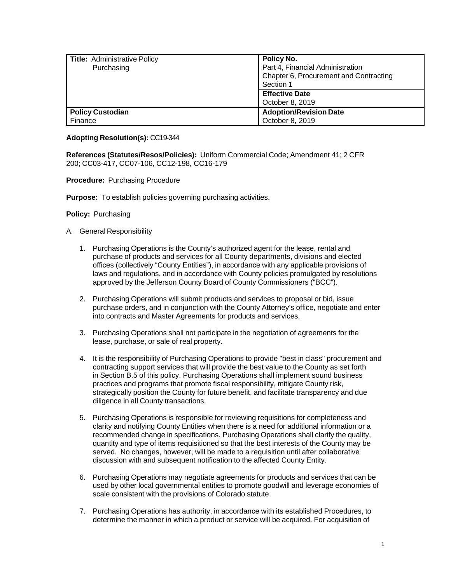| Title: Administrative Policy | Policy No.                             |  |
|------------------------------|----------------------------------------|--|
| Purchasing                   | Part 4, Financial Administration       |  |
|                              | Chapter 6, Procurement and Contracting |  |
|                              | Section 1                              |  |
|                              | <b>Effective Date</b>                  |  |
|                              | October 8, 2019                        |  |
| <b>Policy Custodian</b>      | <b>Adoption/Revision Date</b>          |  |
| Finance                      | October 8, 2019                        |  |

## **Adopting Resolution(s):** CC19-344

**References (Statutes/Resos/Policies):** Uniform Commercial Code; Amendment 41; 2 CFR 200; CC03-417, CC07-106, CC12-198, CC16-179

## **Procedure:** Purchasing Procedure

**Purpose:** To establish policies governing purchasing activities.

## **Policy:** Purchasing

- A. General Responsibility
	- 1. Purchasing Operations is the County's authorized agent for the lease, rental and purchase of products and services for all County departments, divisions and elected offices (collectively "County Entities"), in accordance with any applicable provisions of laws and regulations, and in accordance with County policies promulgated by resolutions approved by the Jefferson County Board of County Commissioners ("BCC").
	- 2. Purchasing Operations will submit products and services to proposal or bid, issue purchase orders, and in conjunction with the County Attorney's office, negotiate and enter into contracts and Master Agreements for products and services.
	- 3. Purchasing Operations shall not participate in the negotiation of agreements for the lease, purchase, or sale of real property.
	- 4. It is the responsibility of Purchasing Operations to provide "best in class" procurement and contracting support services that will provide the best value to the County as set forth in Section B.5 of this policy. Purchasing Operations shall implement sound business practices and programs that promote fiscal responsibility, mitigate County risk, strategically position the County for future benefit, and facilitate transparency and due diligence in all County transactions.
	- 5. Purchasing Operations is responsible for reviewing requisitions for completeness and clarity and notifying County Entities when there is a need for additional information or a recommended change in specifications. Purchasing Operations shall clarify the quality, quantity and type of items requisitioned so that the best interests of the County may be served. No changes, however, will be made to a requisition until after collaborative discussion with and subsequent notification to the affected County Entity.
	- 6. Purchasing Operations may negotiate agreements for products and services that can be used by other local governmental entities to promote goodwill and leverage economies of scale consistent with the provisions of Colorado statute.
	- 7. Purchasing Operations has authority, in accordance with its established Procedures, to determine the manner in which a product or service will be acquired. For acquisition of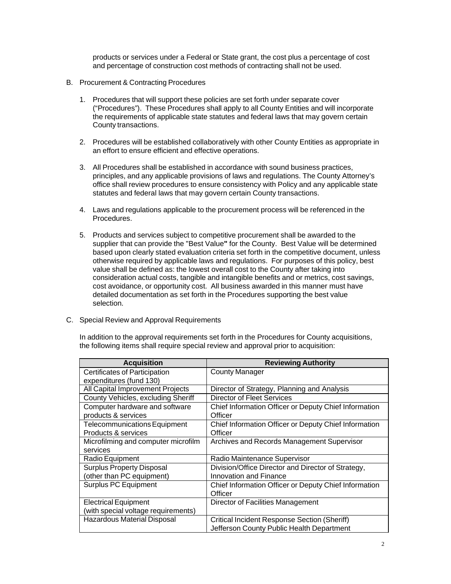products or services under a Federal or State grant, the cost plus a percentage of cost and percentage of construction cost methods of contracting shall not be used.

- B. Procurement & Contracting Procedures
	- 1. Procedures that will support these policies are set forth under separate cover ("Procedures"). These Procedures shall apply to all County Entities and will incorporate the requirements of applicable state statutes and federal laws that may govern certain County transactions.
	- 2. Procedures will be established collaboratively with other County Entities as appropriate in an effort to ensure efficient and effective operations.
	- 3. All Procedures shall be established in accordance with sound business practices, principles, and any applicable provisions of laws and regulations. The County Attorney's office shall review procedures to ensure consistency with Policy and any applicable state statutes and federal laws that may govern certain County transactions.
	- 4. Laws and regulations applicable to the procurement process will be referenced in the Procedures.
	- 5. Products and services subject to competitive procurement shall be awarded to the supplier that can provide the "Best Value**"** for the County. Best Value will be determined based upon clearly stated evaluation criteria set forth in the competitive document, unless otherwise required by applicable laws and regulations. For purposes of this policy, best value shall be defined as: the lowest overall cost to the County after taking into consideration actual costs, tangible and intangible benefits and or metrics, cost savings, cost avoidance, or opportunity cost. All business awarded in this manner must have detailed documentation as set forth in the Procedures supporting the best value selection.
- C. Special Review and Approval Requirements

In addition to the approval requirements set forth in the Procedures for County acquisitions, the following items shall require special review and approval prior to acquisition:

| <b>Acquisition</b>                   | <b>Reviewing Authority</b>                            |
|--------------------------------------|-------------------------------------------------------|
| <b>Certificates of Participation</b> | <b>County Manager</b>                                 |
| expenditures (fund 130)              |                                                       |
| All Capital Improvement Projects     | Director of Strategy, Planning and Analysis           |
| County Vehicles, excluding Sheriff   | Director of Fleet Services                            |
| Computer hardware and software       | Chief Information Officer or Deputy Chief Information |
| products & services                  | Officer                                               |
| <b>Telecommunications Equipment</b>  | Chief Information Officer or Deputy Chief Information |
| Products & services                  | Officer                                               |
| Microfilming and computer microfilm  | Archives and Records Management Supervisor            |
| services                             |                                                       |
| Radio Equipment                      | Radio Maintenance Supervisor                          |
| <b>Surplus Property Disposal</b>     | Division/Office Director and Director of Strategy,    |
| (other than PC equipment)            | Innovation and Finance                                |
| <b>Surplus PC Equipment</b>          | Chief Information Officer or Deputy Chief Information |
|                                      | Officer                                               |
| <b>Electrical Equipment</b>          | Director of Facilities Management                     |
| (with special voltage requirements)  |                                                       |
| Hazardous Material Disposal          | <b>Critical Incident Response Section (Sheriff)</b>   |
|                                      | Jefferson County Public Health Department             |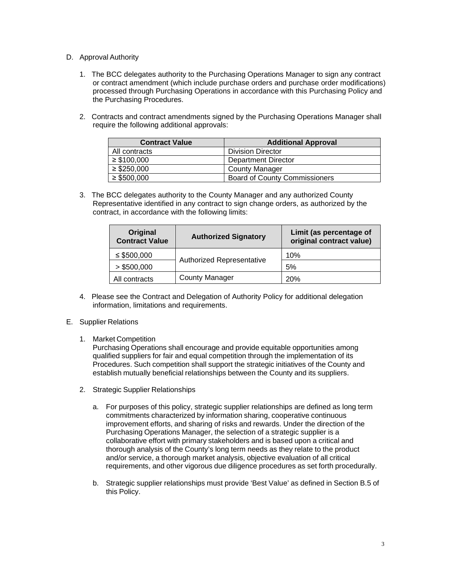- D. Approval Authority
	- 1. The BCC delegates authority to the Purchasing Operations Manager to sign any contract or contract amendment (which include purchase orders and purchase order modifications) processed through Purchasing Operations in accordance with this Purchasing Policy and the Purchasing Procedures.
	- 2. Contracts and contract amendments signed by the Purchasing Operations Manager shall require the following additional approvals:

| <b>Contract Value</b> | <b>Additional Approval</b>           |
|-----------------------|--------------------------------------|
| All contracts         | <b>Division Director</b>             |
| $\geq$ \$100,000      | Department Director                  |
| $\geq$ \$250,000      | <b>County Manager</b>                |
| $\geq$ \$500,000      | <b>Board of County Commissioners</b> |

3. The BCC delegates authority to the County Manager and any authorized County Representative identified in any contract to sign change orders, as authorized by the contract, in accordance with the following limits:

| Original<br><b>Contract Value</b> | <b>Authorized Signatory</b>      | Limit (as percentage of<br>original contract value) |
|-----------------------------------|----------------------------------|-----------------------------------------------------|
| $\leq$ \$500,000                  | <b>Authorized Representative</b> | 10%                                                 |
| > \$500,000                       |                                  | 5%                                                  |
| All contracts                     | <b>County Manager</b>            | 20%                                                 |

4. Please see the Contract and Delegation of Authority Policy for additional delegation information, limitations and requirements.

## E. Supplier Relations

1. Market Competition

Purchasing Operations shall encourage and provide equitable opportunities among qualified suppliers for fair and equal competition through the implementation of its Procedures. Such competition shall support the strategic initiatives of the County and establish mutually beneficial relationships between the County and its suppliers.

- 2. Strategic Supplier Relationships
	- a. For purposes of this policy, strategic supplier relationships are defined as long term commitments characterized by information sharing, cooperative continuous improvement efforts, and sharing of risks and rewards. Under the direction of the Purchasing Operations Manager, the selection of a strategic supplier is a collaborative effort with primary stakeholders and is based upon a critical and thorough analysis of the County's long term needs as they relate to the product and/or service, a thorough market analysis, objective evaluation of all critical requirements, and other vigorous due diligence procedures as set forth procedurally.
	- b. Strategic supplier relationships must provide 'Best Value' as defined in Section B.5 of this Policy.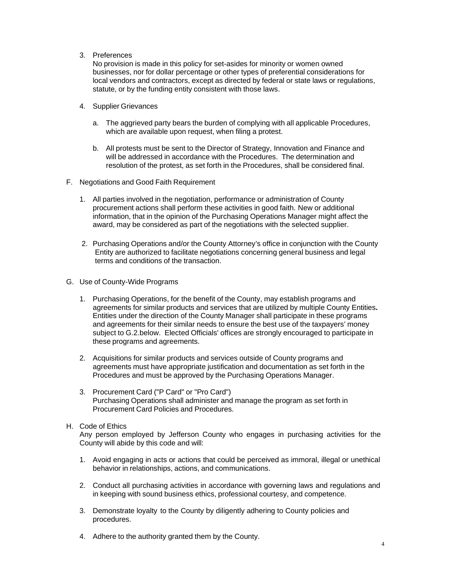3. Preferences

No provision is made in this policy for set-asides for minority or women owned businesses, nor for dollar percentage or other types of preferential considerations for local vendors and contractors, except as directed by federal or state laws or regulations, statute, or by the funding entity consistent with those laws.

- 4. Supplier Grievances
	- a. The aggrieved party bears the burden of complying with all applicable Procedures, which are available upon request, when filing a protest.
	- b. All protests must be sent to the Director of Strategy, Innovation and Finance and will be addressed in accordance with the Procedures. The determination and resolution of the protest, as set forth in the Procedures, shall be considered final.
- F. Negotiations and Good Faith Requirement
	- 1. All parties involved in the negotiation, performance or administration of County procurement actions shall perform these activities in good faith. New or additional information, that in the opinion of the Purchasing Operations Manager might affect the award, may be considered as part of the negotiations with the selected supplier.
	- 2. Purchasing Operations and/or the County Attorney's office in conjunction with the County Entity are authorized to facilitate negotiations concerning general business and legal terms and conditions of the transaction.
- G. Use of County-Wide Programs
	- 1. Purchasing Operations, for the benefit of the County, may establish programs and agreements for similar products and services that are utilized by multiple County Entities**.** Entities under the direction of the County Manager shall participate in these programs and agreements for their similar needs to ensure the best use of the taxpayers' money subject to G.2.below. Elected Officials' offices are strongly encouraged to participate in these programs and agreements.
	- 2. Acquisitions for similar products and services outside of County programs and agreements must have appropriate justification and documentation as set forth in the Procedures and must be approved by the Purchasing Operations Manager.
	- 3. Procurement Card ("P Card" or "Pro Card") Purchasing Operations shall administer and manage the program as set forth in Procurement Card Policies and Procedures.
- H. Code of Ethics

Any person employed by Jefferson County who engages in purchasing activities for the County will abide by this code and will:

- 1. Avoid engaging in acts or actions that could be perceived as immoral, illegal or unethical behavior in relationships, actions, and communications.
- 2. Conduct all purchasing activities in accordance with governing laws and regulations and in keeping with sound business ethics, professional courtesy, and competence.
- 3. Demonstrate loyalty to the County by diligently adhering to County policies and procedures.
- 4. Adhere to the authority granted them by the County.